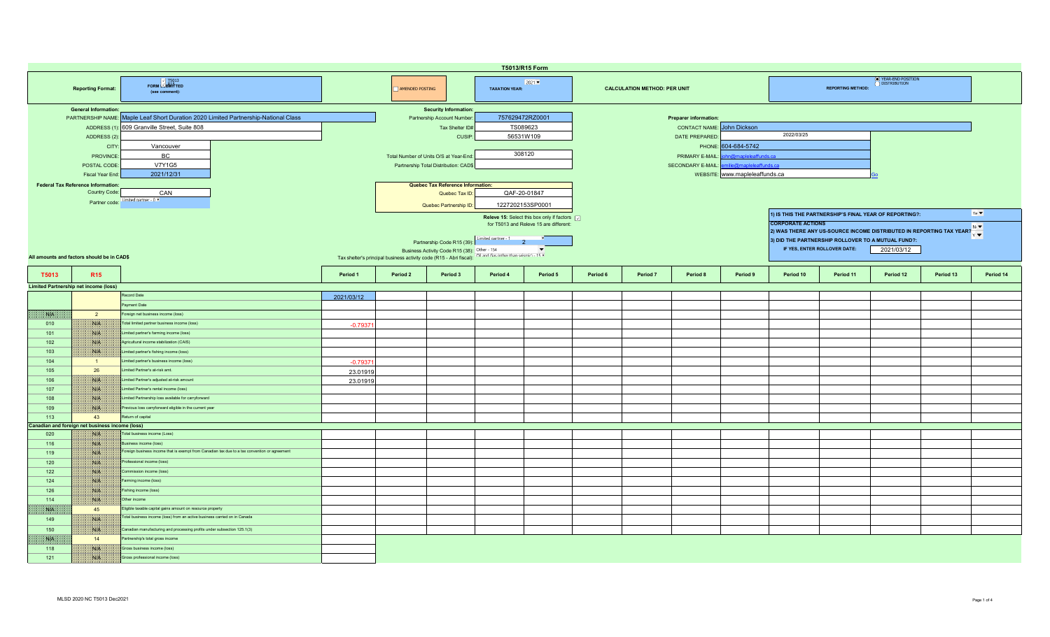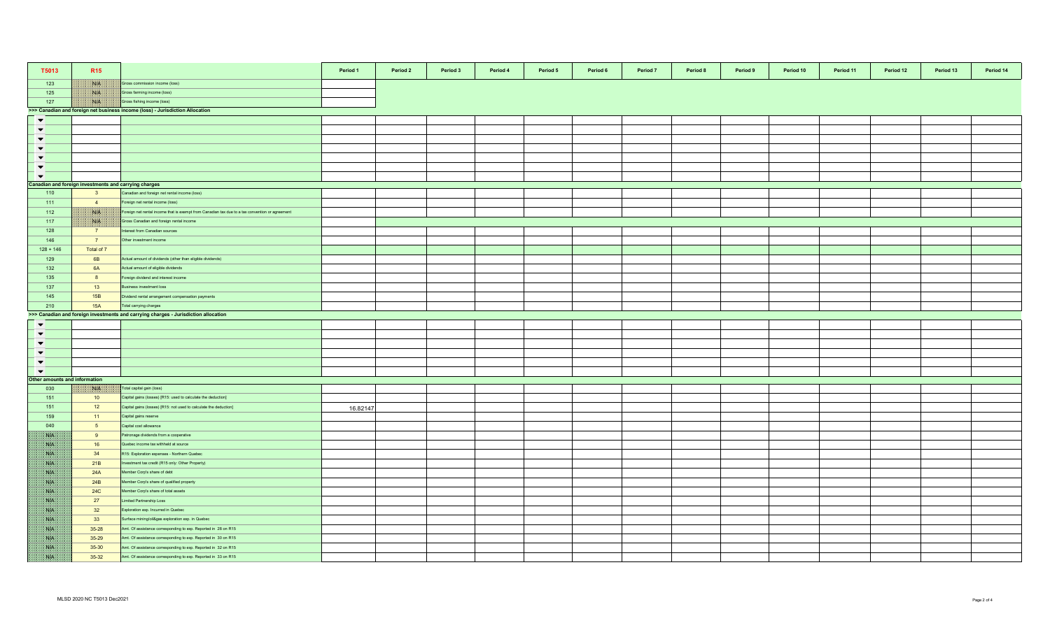| T5013                         | <b>R15</b>                                            |                                                                                                 | Period 1 | Period 2 | Period 3 | Period 4 | Period 5 | Period 6 | Period 7 | Period 8 | Period 9 | Period 10 | Period 11 | Period 12 | Period 13 | Period 14 |
|-------------------------------|-------------------------------------------------------|-------------------------------------------------------------------------------------------------|----------|----------|----------|----------|----------|----------|----------|----------|----------|-----------|-----------|-----------|-----------|-----------|
| 123                           | W                                                     | Gross commission income (loss)                                                                  |          |          |          |          |          |          |          |          |          |           |           |           |           |           |
| 125                           | NIA                                                   | Gross farming income (loss)                                                                     |          |          |          |          |          |          |          |          |          |           |           |           |           |           |
| 127                           | NIA                                                   | Gross fishing income (loss)                                                                     |          |          |          |          |          |          |          |          |          |           |           |           |           |           |
|                               |                                                       | >>> Canadian and foreign net business income (loss) - Jurisdiction Allocation                   |          |          |          |          |          |          |          |          |          |           |           |           |           |           |
| $\blacktriangledown$          |                                                       |                                                                                                 |          |          |          |          |          |          |          |          |          |           |           |           |           |           |
| $\overline{\phantom{0}}$      |                                                       |                                                                                                 |          |          |          |          |          |          |          |          |          |           |           |           |           |           |
| $\blacktriangledown$          |                                                       |                                                                                                 |          |          |          |          |          |          |          |          |          |           |           |           |           |           |
| $\blacktriangledown$          |                                                       |                                                                                                 |          |          |          |          |          |          |          |          |          |           |           |           |           |           |
| $\overline{\phantom{0}}$      |                                                       |                                                                                                 |          |          |          |          |          |          |          |          |          |           |           |           |           |           |
| $\blacktriangledown$          |                                                       |                                                                                                 |          |          |          |          |          |          |          |          |          |           |           |           |           |           |
| $\blacktriangledown$          |                                                       |                                                                                                 |          |          |          |          |          |          |          |          |          |           |           |           |           |           |
|                               | Canadian and foreign investments and carrying charges |                                                                                                 |          |          |          |          |          |          |          |          |          |           |           |           |           |           |
| 110                           | 3 <sup>1</sup>                                        | Canadian and foreign net rental income (loss)                                                   |          |          |          |          |          |          |          |          |          |           |           |           |           |           |
| 111                           | $\overline{4}$                                        | Foreign net rental income (loss)                                                                |          |          |          |          |          |          |          |          |          |           |           |           |           |           |
| 112                           | NA                                                    | Foreign net rental income that is exempt from Canadian tax due to a tax convention or agreement |          |          |          |          |          |          |          |          |          |           |           |           |           |           |
| 117                           | NIA                                                   | Gross Canadian and foreign rental income                                                        |          |          |          |          |          |          |          |          |          |           |           |           |           |           |
| 128                           | 7 <sup>7</sup>                                        | nterest from Canadian sources                                                                   |          |          |          |          |          |          |          |          |          |           |           |           |           |           |
| 146                           | $\overline{7}$                                        | Other investment income                                                                         |          |          |          |          |          |          |          |          |          |           |           |           |           |           |
| $128 + 146$                   | Total of 7                                            |                                                                                                 |          |          |          |          |          |          |          |          |          |           |           |           |           |           |
| 129                           | 6B                                                    | Actual amount of dividends (other than eligible dividends)                                      |          |          |          |          |          |          |          |          |          |           |           |           |           |           |
| 132                           | 6A                                                    | Actual amount of eligible dividends                                                             |          |          |          |          |          |          |          |          |          |           |           |           |           |           |
| 135                           | 8                                                     | Foreign dividend and interest income                                                            |          |          |          |          |          |          |          |          |          |           |           |           |           |           |
| 137                           | 13                                                    | usiness investment loss                                                                         |          |          |          |          |          |          |          |          |          |           |           |           |           |           |
| 145                           | 15B                                                   | Dividend rental arrangement compensation payments                                               |          |          |          |          |          |          |          |          |          |           |           |           |           |           |
| 210                           | 15A                                                   | Total carrying charges                                                                          |          |          |          |          |          |          |          |          |          |           |           |           |           |           |
|                               |                                                       | >>> Canadian and foreign investments and carrying charges - Jurisdiction allocation             |          |          |          |          |          |          |          |          |          |           |           |           |           |           |
| $\blacktriangledown$          |                                                       |                                                                                                 |          |          |          |          |          |          |          |          |          |           |           |           |           |           |
| $\overline{\phantom{a}}$      |                                                       |                                                                                                 |          |          |          |          |          |          |          |          |          |           |           |           |           |           |
| $\blacktriangledown$          |                                                       |                                                                                                 |          |          |          |          |          |          |          |          |          |           |           |           |           |           |
| $\blacktriangledown$          |                                                       |                                                                                                 |          |          |          |          |          |          |          |          |          |           |           |           |           |           |
| $\blacktriangledown$          |                                                       |                                                                                                 |          |          |          |          |          |          |          |          |          |           |           |           |           |           |
| $\overline{\phantom{a}}$      |                                                       |                                                                                                 |          |          |          |          |          |          |          |          |          |           |           |           |           |           |
| Other amounts and information |                                                       |                                                                                                 |          |          |          |          |          |          |          |          |          |           |           |           |           |           |
| 030                           | NBA.                                                  | Total capital gain (loss)                                                                       |          |          |          |          |          |          |          |          |          |           |           |           |           |           |
| 151                           | 10                                                    | Capital gains (losses) [R15: used to calculate the deduction]                                   |          |          |          |          |          |          |          |          |          |           |           |           |           |           |
| 151                           | 12                                                    | Capital gains (losses) [R15: not used to calculate the deduction]                               |          |          |          |          |          |          |          |          |          |           |           |           |           |           |
| 159                           | 11                                                    | Capital gains reserve                                                                           | 16.82147 |          |          |          |          |          |          |          |          |           |           |           |           |           |
| 040                           | 5 <sub>5</sub>                                        | Capital cost allowance                                                                          |          |          |          |          |          |          |          |          |          |           |           |           |           |           |
| <b>NA</b>                     | 9                                                     | Patronage dividends from a cooperative                                                          |          |          |          |          |          |          |          |          |          |           |           |           |           |           |
| san 1                         | 16                                                    | Quebec income tax withheld at source                                                            |          |          |          |          |          |          |          |          |          |           |           |           |           |           |
| WB.                           | 34                                                    | R15: Exploration expenses - Northern Quebec                                                     |          |          |          |          |          |          |          |          |          |           |           |           |           |           |
| M                             | 21B                                                   | nvestment tax credit (R15 only: Other Property)                                                 |          |          |          |          |          |          |          |          |          |           |           |           |           |           |
| <b>NB</b>                     | 24A                                                   |                                                                                                 |          |          |          |          |          |          |          |          |          |           |           |           |           |           |
| <b>SYP</b>                    |                                                       | Member Corp's share of debt                                                                     |          |          |          |          |          |          |          |          |          |           |           |           |           |           |
|                               | 24B                                                   | Member Corp's share of qualified property                                                       |          |          |          |          |          |          |          |          |          |           |           |           |           |           |
| NG K                          | 24C<br>27                                             | Member Corp's share of total assets                                                             |          |          |          |          |          |          |          |          |          |           |           |           |           |           |
| WE                            |                                                       | Limited Partnership Loss                                                                        |          |          |          |          |          |          |          |          |          |           |           |           |           |           |
| NB                            | 32                                                    | Exploration exp. Incurred in Quebec                                                             |          |          |          |          |          |          |          |          |          |           |           |           |           |           |
| NIA                           | 33                                                    | Surface mining/oil&gas exploration exp. in Quebec                                               |          |          |          |          |          |          |          |          |          |           |           |           |           |           |
| WB.                           | $35 - 28$                                             | Amt. Of assistance corresponding to exp. Reported in 28 on R15                                  |          |          |          |          |          |          |          |          |          |           |           |           |           |           |
| WA                            | $35 - 29$                                             | Amt. Of assistance corresponding to exp. Reported in 30 on R15                                  |          |          |          |          |          |          |          |          |          |           |           |           |           |           |
| <b>NIP</b>                    | 35-30                                                 | Amt. Of assistance corresponding to exp. Reported in 32 on R15                                  |          |          |          |          |          |          |          |          |          |           |           |           |           |           |
| S.                            | 35-32                                                 | Amt. Of assistance corresponding to exp. Reported in 33 on R15                                  |          |          |          |          |          |          |          |          |          |           |           |           |           |           |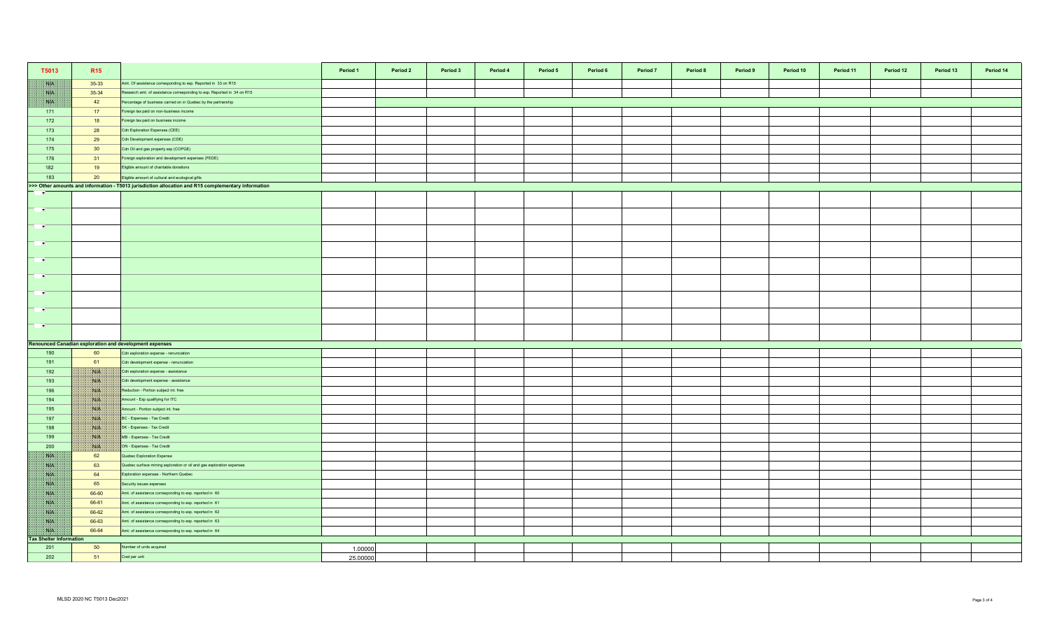| T5013                          | R <sub>15</sub>                                                                                     |                                                                         | Period 1 | Period 2 | Period 3 | Period 4 | Period 5 | Period 6 | Period 7 | Period 8 | Period 9 | Period 10 | Period 11 | Period 12 | Period 13 | Period 14 |
|--------------------------------|-----------------------------------------------------------------------------------------------------|-------------------------------------------------------------------------|----------|----------|----------|----------|----------|----------|----------|----------|----------|-----------|-----------|-----------|-----------|-----------|
| NK                             | 35-33                                                                                               | Amt. Of assistance corresponding to exp. Reported in 33 on R15          |          |          |          |          |          |          |          |          |          |           |           |           |           |           |
| W                              | 35-34                                                                                               | Research amt. of assistance corresponding to exp. Reported in 34 on R15 |          |          |          |          |          |          |          |          |          |           |           |           |           |           |
| NB                             | 42                                                                                                  | Percentage of business carried on in Quebec by the partnership          |          |          |          |          |          |          |          |          |          |           |           |           |           |           |
| 171                            | 17                                                                                                  | Foreign tax paid on non-business income                                 |          |          |          |          |          |          |          |          |          |           |           |           |           |           |
| 172                            | 18                                                                                                  | Foreign tax paid on business income                                     |          |          |          |          |          |          |          |          |          |           |           |           |           |           |
| 173                            | 28                                                                                                  | Cdn Exploration Expenses (CEE)                                          |          |          |          |          |          |          |          |          |          |           |           |           |           |           |
| 174                            | 29                                                                                                  | Cdn Development expenses (CDE)                                          |          |          |          |          |          |          |          |          |          |           |           |           |           |           |
| 175                            | 30 <sup>°</sup>                                                                                     | Cdn Oil and gas property exp (COPGE)                                    |          |          |          |          |          |          |          |          |          |           |           |           |           |           |
| 176                            | 31                                                                                                  | Foreign exploration and development expenses (FEDE)                     |          |          |          |          |          |          |          |          |          |           |           |           |           |           |
| 182                            | 19                                                                                                  | Eligible amount of charitable donations                                 |          |          |          |          |          |          |          |          |          |           |           |           |           |           |
| 183                            | 20                                                                                                  | Eligible amount of cultural and ecological gifts                        |          |          |          |          |          |          |          |          |          |           |           |           |           |           |
|                                | >>> Other amounts and information - T5013 jurisdiction allocation and R15 complementary information |                                                                         |          |          |          |          |          |          |          |          |          |           |           |           |           |           |
| <b>F</b>                       |                                                                                                     |                                                                         |          |          |          |          |          |          |          |          |          |           |           |           |           |           |
| $\overline{\phantom{a}}$       |                                                                                                     |                                                                         |          |          |          |          |          |          |          |          |          |           |           |           |           |           |
| <b>PARTS</b>                   |                                                                                                     |                                                                         |          |          |          |          |          |          |          |          |          |           |           |           |           |           |
| $\overline{\phantom{a}}$       |                                                                                                     |                                                                         |          |          |          |          |          |          |          |          |          |           |           |           |           |           |
| $\mathbf{r}$                   |                                                                                                     |                                                                         |          |          |          |          |          |          |          |          |          |           |           |           |           |           |
| <b>P</b>                       |                                                                                                     |                                                                         |          |          |          |          |          |          |          |          |          |           |           |           |           |           |
| $\Rightarrow$                  |                                                                                                     |                                                                         |          |          |          |          |          |          |          |          |          |           |           |           |           |           |
| $\sim$                         |                                                                                                     |                                                                         |          |          |          |          |          |          |          |          |          |           |           |           |           |           |
| <b>PART</b>                    |                                                                                                     |                                                                         |          |          |          |          |          |          |          |          |          |           |           |           |           |           |
|                                |                                                                                                     |                                                                         |          |          |          |          |          |          |          |          |          |           |           |           |           |           |
|                                |                                                                                                     | <b>Renounced Canadian exploration and development expenses</b>          |          |          |          |          |          |          |          |          |          |           |           |           |           |           |
| 190                            | 60                                                                                                  | Cdn exploration expense - renunciation                                  |          |          |          |          |          |          |          |          |          |           |           |           |           |           |
| 191                            | 61                                                                                                  | Cdn development expense - renunciation                                  |          |          |          |          |          |          |          |          |          |           |           |           |           |           |
| 192                            | BUS.                                                                                                | Cdn exploration expense - assistance                                    |          |          |          |          |          |          |          |          |          |           |           |           |           |           |
| 193                            | NB                                                                                                  | Cdn development expense - assistance                                    |          |          |          |          |          |          |          |          |          |           |           |           |           |           |
| 196                            | <b>NIK</b>                                                                                          | Reduction - Portion subject int. free                                   |          |          |          |          |          |          |          |          |          |           |           |           |           |           |
| 194                            | W                                                                                                   | Amount - Exp qualifying for ITC                                         |          |          |          |          |          |          |          |          |          |           |           |           |           |           |
| 195                            | WIN                                                                                                 | Amount - Portion subject int. free                                      |          |          |          |          |          |          |          |          |          |           |           |           |           |           |
| 197                            | ma<br>NA                                                                                            | BC - Expenses - Tax Credit                                              |          |          |          |          |          |          |          |          |          |           |           |           |           |           |
| 198<br>199                     | <b>NOTE</b>                                                                                         | SK - Expenses - Tax Credit<br>MB - Expenses - Tax Credit                |          |          |          |          |          |          |          |          |          |           |           |           |           |           |
|                                | <b>ISLA</b>                                                                                         | ON - Expenses - Tax Credit                                              |          |          |          |          |          |          |          |          |          |           |           |           |           |           |
| 200<br>NB                      | 62                                                                                                  | Quebec Exploration Expense                                              |          |          |          |          |          |          |          |          |          |           |           |           |           |           |
| NK                             | 63                                                                                                  | Quebec surface mining exploration or oil and gas exploration expenses   |          |          |          |          |          |          |          |          |          |           |           |           |           |           |
| <b>SATIS</b>                   | 64                                                                                                  | Exploration expenses - Northern Quebec                                  |          |          |          |          |          |          |          |          |          |           |           |           |           |           |
| NB                             | 65                                                                                                  | Security issues expenses                                                |          |          |          |          |          |          |          |          |          |           |           |           |           |           |
| NK                             | 66-60                                                                                               | Amt. of assistance corresponding to exp. reported in 60                 |          |          |          |          |          |          |          |          |          |           |           |           |           |           |
| <b>SYLVEN</b>                  | 66-61                                                                                               | Amt. of assistance corresponding to exp. reported in 61                 |          |          |          |          |          |          |          |          |          |           |           |           |           |           |
| NK                             | 66-62                                                                                               | Amt. of assistance corresponding to exp. reported in 62                 |          |          |          |          |          |          |          |          |          |           |           |           |           |           |
| <b>SUP</b>                     | 66-63                                                                                               | Amt. of assistance corresponding to exp. reported in 63                 |          |          |          |          |          |          |          |          |          |           |           |           |           |           |
| WH                             | 66-64                                                                                               | Amt. of assistance corresponding to exp. reported in 64                 |          |          |          |          |          |          |          |          |          |           |           |           |           |           |
| <b>Tax Shelter Information</b> |                                                                                                     |                                                                         |          |          |          |          |          |          |          |          |          |           |           |           |           |           |
| 201                            | 50                                                                                                  | Number of units acquired                                                | 1.00000  |          |          |          |          |          |          |          |          |           |           |           |           |           |
| 202                            | 51                                                                                                  | Cost per unit                                                           | 25.00000 |          |          |          |          |          |          |          |          |           |           |           |           |           |